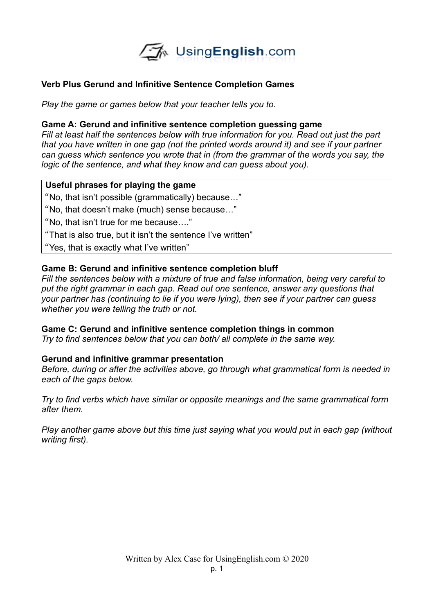

# **Verb Plus Gerund and Infinitive Sentence Completion Games**

*Play the game or games below that your teacher tells you to.* 

## **Game A: Gerund and infinitive sentence completion guessing game**

*Fill at least half the sentences below with true information for you. Read out just the part that you have written in one gap (not the printed words around it) and see if your partner can guess which sentence you wrote that in (from the grammar of the words you say, the logic of the sentence, and what they know and can guess about you).* 

#### **Useful phrases for playing the game**

"No, that isn't possible (grammatically) because…"

"No, that doesn't make (much) sense because…"

"No, that isn't true for me because…."

"That is also true, but it isn't the sentence I've written"

"Yes, that is exactly what I've written"

## **Game B: Gerund and infinitive sentence completion bluff**

*Fill the sentences below with a mixture of true and false information, being very careful to put the right grammar in each gap. Read out one sentence, answer any questions that your partner has (continuing to lie if you were lying), then see if your partner can guess whether you were telling the truth or not.* 

#### **Game C: Gerund and infinitive sentence completion things in common**

*Try to find sentences below that you can both/ all complete in the same way.* 

## **Gerund and infinitive grammar presentation**

*Before, during or after the activities above, go through what grammatical form is needed in each of the gaps below.*

*Try to find verbs which have similar or opposite meanings and the same grammatical form after them.* 

*Play another game above but this time just saying what you would put in each gap (without writing first).*